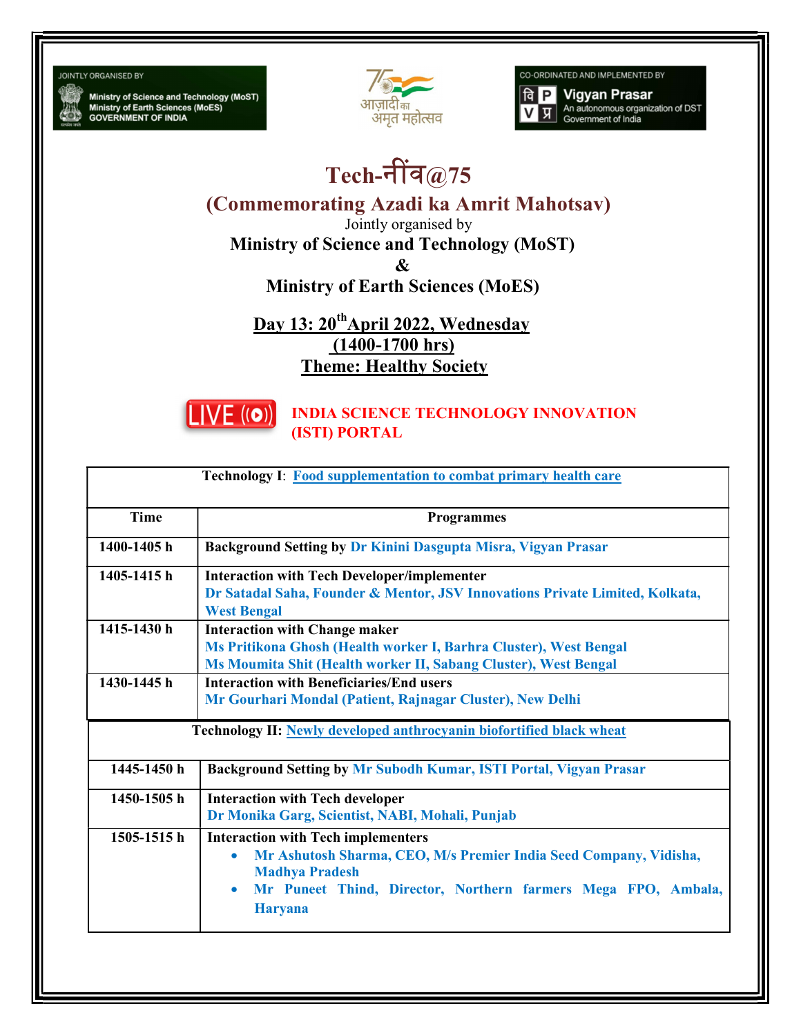**JOINTLY ORGANISED BY** 

Ministry of Science and Technology (MoST)<br>Ministry of Earth Sciences (MoES)<br>GOVERNMENT OF INDIA



CO-ORDINATED AND IMPLEMENTED BY

**Vigyan Prasar**  $a$   $P$ An autonomous organization of DST<br>Government of India प्र

## Tech-नींव $@75$

(Commemorating Azadi ka Amrit Mahotsav)

Jointly organised by

Ministry of Science and Technology (MoST)

&

Ministry of Earth Sciences (MoES)

Day 13: 20<sup>th</sup>April 2022, Wednesday (1400-1700 hrs) Theme: Healthy Society



## INDIA SCIENCE TECHNOLOGY INNOVATION (ISTI) PORTAL

| <b>Time</b>     | <b>Programmes</b>                                                                                                                                                                                                                                    |
|-----------------|------------------------------------------------------------------------------------------------------------------------------------------------------------------------------------------------------------------------------------------------------|
| 1400-1405h      | Background Setting by Dr Kinini Dasgupta Misra, Vigyan Prasar                                                                                                                                                                                        |
| 1405-1415 h     | <b>Interaction with Tech Developer/implementer</b><br>Dr Satadal Saha, Founder & Mentor, JSV Innovations Private Limited, Kolkata,<br><b>West Bengal</b>                                                                                             |
| 1415-1430 h     | <b>Interaction with Change maker</b><br>Ms Pritikona Ghosh (Health worker I, Barhra Cluster), West Bengal<br>Ms Moumita Shit (Health worker II, Sabang Cluster), West Bengal                                                                         |
| 1430-1445 h     | <b>Interaction with Beneficiaries/End users</b><br>Mr Gourhari Mondal (Patient, Rajnagar Cluster), New Delhi                                                                                                                                         |
|                 | Technology II: Newly developed anthrocyanin biofortified black wheat                                                                                                                                                                                 |
| 1445-1450 h     | Background Setting by Mr Subodh Kumar, ISTI Portal, Vigyan Prasar                                                                                                                                                                                    |
| 1450-1505h      | <b>Interaction with Tech developer</b><br>Dr Monika Garg, Scientist, NABI, Mohali, Punjab                                                                                                                                                            |
| $1505 - 1515$ h | <b>Interaction with Tech implementers</b><br>Mr Ashutosh Sharma, CEO, M/s Premier India Seed Company, Vidisha,<br>$\bullet$<br><b>Madhya Pradesh</b><br>Mr Puneet Thind, Director, Northern farmers Mega FPO, Ambala,<br>$\bullet$<br><b>Haryana</b> |